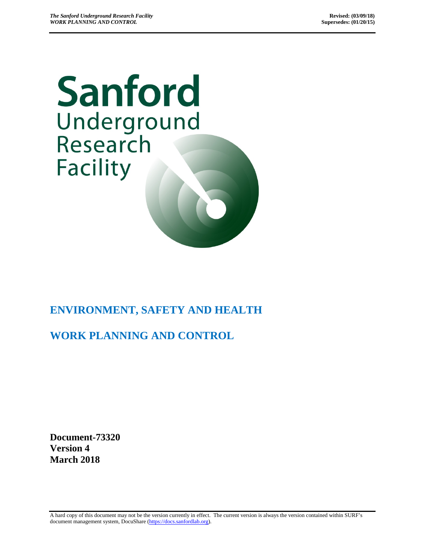

# **ENVIRONMENT, SAFETY AND HEALTH**

# **WORK PLANNING AND CONTROL**

**Document-73320 Version 4 March 2018**

A hard copy of this document may not be the version currently in effect. The current version is always the version contained within SURF's document management system, DocuShare [\(https://docs.sanfordlab.org\)](https://docs.sanfordlab.org/).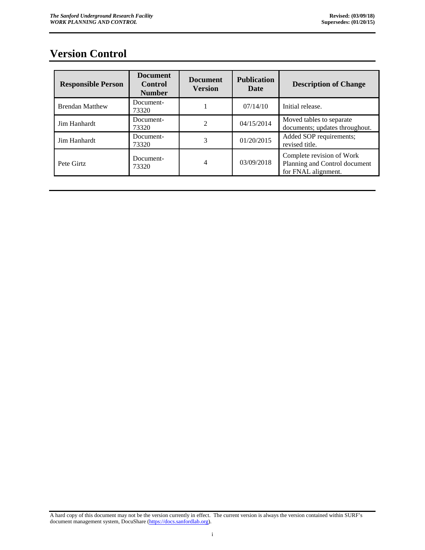## <span id="page-1-0"></span>**Version Control**

| <b>Responsible Person</b> | <b>Document</b><br><b>Control</b><br><b>Number</b> | <b>Document</b><br><b>Version</b> | <b>Publication</b><br>Date | <b>Description of Change</b>                                                      |
|---------------------------|----------------------------------------------------|-----------------------------------|----------------------------|-----------------------------------------------------------------------------------|
| <b>Brendan Matthew</b>    | Document-<br>73320                                 |                                   | 07/14/10                   | Initial release.                                                                  |
| Jim Hanhardt              | Document-<br>73320                                 | $\mathfrak{D}$                    | 04/15/2014                 | Moved tables to separate<br>documents; updates throughout.                        |
| Jim Hanhardt              | Document-<br>73320                                 | 3                                 | 01/20/2015                 | Added SOP requirements;<br>revised title.                                         |
| Pete Girtz                | Document-<br>73320                                 | 4                                 | 03/09/2018                 | Complete revision of Work<br>Planning and Control document<br>for FNAL alignment. |

A hard copy of this document may not be the version currently in effect. The current version is always the version contained within SURF's document management system, DocuShare [\(https://docs.sanfordlab.org\)](https://docs.sanfordlab.org/).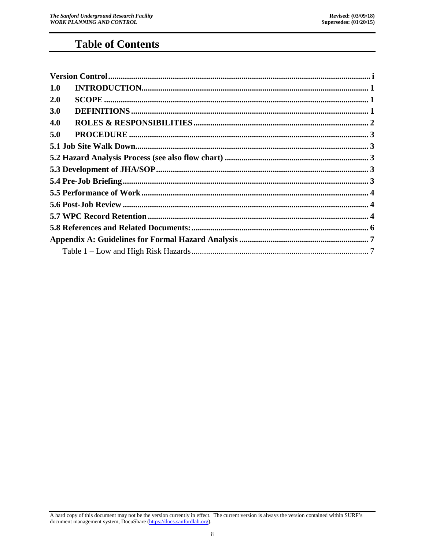# **Table of Contents**

| 1.0 |  |
|-----|--|
| 2.0 |  |
| 3.0 |  |
| 4.0 |  |
| 5.0 |  |
|     |  |
|     |  |
|     |  |
|     |  |
|     |  |
|     |  |
|     |  |
|     |  |
|     |  |
|     |  |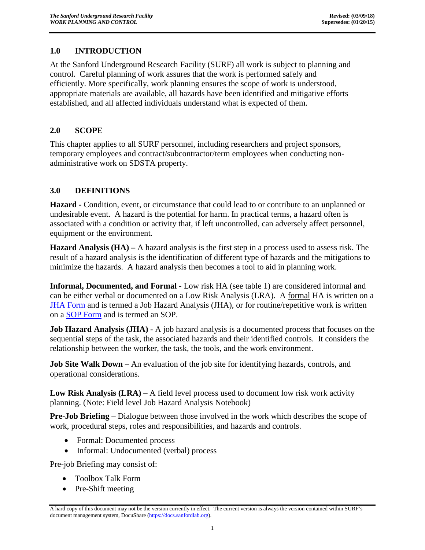#### <span id="page-3-0"></span>**1.0 INTRODUCTION**

At the Sanford Underground Research Facility (SURF) all work is subject to planning and control. Careful planning of work assures that the work is performed safely and efficiently. More specifically, work planning ensures the scope of work is understood, appropriate materials are available, all hazards have been identified and mitigative efforts established, and all affected individuals understand what is expected of them.

### <span id="page-3-1"></span>**2.0 SCOPE**

This chapter applies to all SURF personnel, including researchers and project sponsors, temporary employees and contract/subcontractor/term employees when conducting nonadministrative work on SDSTA property.

### <span id="page-3-2"></span>**3.0 DEFINITIONS**

**Hazard -** Condition, event, or circumstance that could lead to or contribute to an unplanned or undesirable event. A hazard is the potential for harm. In practical terms, a hazard often is associated with a condition or activity that, if left uncontrolled, can adversely affect personnel, equipment or the environment.

**Hazard Analysis (HA) –** A hazard analysis is the first step in a process used to assess [risk.](http://en.wikipedia.org/wiki/Risk) The result of a hazard analysis is the identification of different type of hazards and the mitigations to minimize the hazards. A hazard analysis then becomes a tool to aid in planning work.

**Informal, Documented, and Formal -** Low risk HA (see table 1) are considered informal and can be either verbal or documented on a Low Risk Analysis (LRA). A formal HA is written on a [JHA Form](https://docs.sanfordlab.org/docushare/dsweb/Get/Document-71800/) and is termed a Job Hazard Analysis (JHA), or for routine/repetitive work is written on a [SOP Form](https://docs.sanfordlab.org/docushare/dsweb/Get/Document-71464) and is termed an SOP.

**Job Hazard Analysis (JHA) -** A job hazard analysis is a documented process that focuses on the sequential steps of the task, the associated hazards and their identified controls. It considers the relationship between the worker, the task, the tools, and the work environment.

**Job Site Walk Down** – An evaluation of the job site for identifying hazards, controls, and operational considerations.

**Low Risk Analysis (LRA)** – A field level process used to document low risk work activity planning. (Note: Field level Job Hazard Analysis Notebook)

**Pre-Job Briefing** – Dialogue between those involved in the work which describes the scope of work, procedural steps, roles and responsibilities, and hazards and controls.

- Formal: Documented process
- Informal: Undocumented (verbal) process

Pre-job Briefing may consist of:

- Toolbox Talk Form
- Pre-Shift meeting

A hard copy of this document may not be the version currently in effect. The current version is always the version contained within SURF's document management system, DocuShare [\(https://docs.sanfordlab.org\)](https://docs.sanfordlab.org/).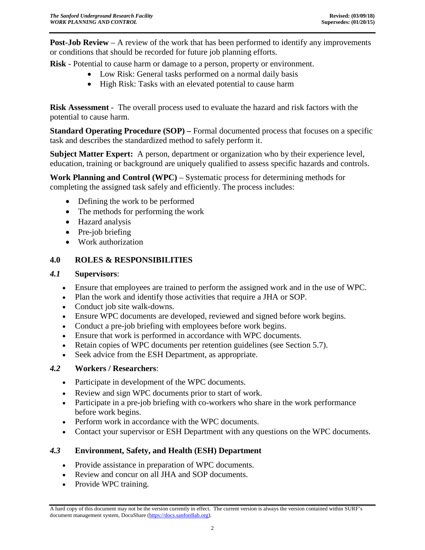**Post-Job Review** – A review of the work that has been performed to identify any improvements or conditions that should be recorded for future job planning efforts.

**Risk** - Potential to cause harm or damage to a person, property or environment.

- Low Risk: General tasks performed on a normal daily basis
- High Risk: Tasks with an elevated potential to cause harm

**Risk Assessment** - The overall process used to evaluate the hazard and risk factors with the potential to cause harm.

**Standard Operating Procedure (SOP) –** Formal documented process that focuses on a specific task and describes the standardized method to safely perform it.

**Subject Matter Expert:** A person, department or organization who by their experience level, education, training or background are uniquely qualified to assess specific hazards and controls.

**Work Planning and Control (WPC)** – Systematic process for determining methods for completing the assigned task safely and efficiently. The process includes:

- Defining the work to be performed
- The methods for performing the work
- Hazard analysis
- Pre-job briefing
- Work authorization

#### <span id="page-4-0"></span>**4.0 ROLES & RESPONSIBILITIES**

#### *4.1* **Supervisors**:

- Ensure that employees are trained to perform the assigned work and in the use of WPC.
- Plan the work and identify those activities that require a JHA or SOP.
- Conduct job site walk-downs.
- Ensure WPC documents are developed, reviewed and signed before work begins.
- Conduct a pre-job briefing with employees before work begins.
- Ensure that work is performed in accordance with WPC documents.
- Retain copies of WPC documents per retention guidelines (see Section 5.7).
- Seek advice from the ESH Department, as appropriate.

#### *4.2* **Workers / Researchers**:

- Participate in development of the WPC documents.
- Review and sign WPC documents prior to start of work.
- Participate in a pre-job briefing with co-workers who share in the work performance before work begins.
- Perform work in accordance with the WPC documents.
- Contact your supervisor or ESH Department with any questions on the WPC documents.

#### *4.3* **Environment, Safety, and Health (ESH) Department**

- Provide assistance in preparation of WPC documents.
- Review and concur on all JHA and SOP documents.
- Provide WPC training.

A hard copy of this document may not be the version currently in effect. The current version is always the version contained within SURF's document management system, DocuShare [\(https://docs.sanfordlab.org\)](https://docs.sanfordlab.org/).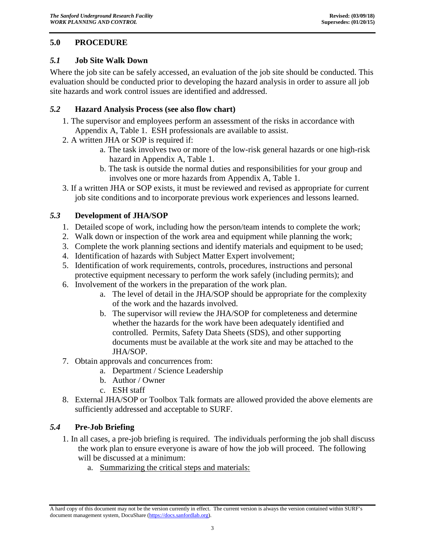### <span id="page-5-0"></span>**5.0 PROCEDURE**

#### <span id="page-5-1"></span>*5.1* **Job Site Walk Down**

Where the job site can be safely accessed, an evaluation of the job site should be conducted. This evaluation should be conducted prior to developing the hazard analysis in order to assure all job site hazards and work control issues are identified and addressed.

#### <span id="page-5-2"></span>*5.2* **Hazard Analysis Process (see also flow chart)**

- 1. The supervisor and employees perform an assessment of the risks in accordance with Appendix A, Table 1. ESH professionals are available to assist.
- 2. A written JHA or SOP is required if:
	- a. The task involves two or more of the low-risk general hazards or one high-risk hazard in Appendix A, Table 1.
	- b. The task is outside the normal duties and responsibilities for your group and involves one or more hazards from Appendix A, Table 1.
- 3. If a written JHA or SOP exists, it must be reviewed and revised as appropriate for current job site conditions and to incorporate previous work experiences and lessons learned.

### <span id="page-5-3"></span>*5.3* **Development of JHA/SOP**

- 1. Detailed scope of work, including how the person/team intends to complete the work;
- 2. Walk down or inspection of the work area and equipment while planning the work;
- 3. Complete the work planning sections and identify materials and equipment to be used;
- 4. Identification of hazards with Subject Matter Expert involvement;
- 5. Identification of work requirements, controls, procedures, instructions and personal protective equipment necessary to perform the work safely (including permits); and
- 6. Involvement of the workers in the preparation of the work plan.
	- a. The level of detail in the JHA/SOP should be appropriate for the complexity of the work and the hazards involved.
	- b. The supervisor will review the JHA/SOP for completeness and determine whether the hazards for the work have been adequately identified and controlled. Permits, Safety Data Sheets (SDS), and other supporting documents must be available at the work site and may be attached to the JHA/SOP.
- 7. Obtain approvals and concurrences from:
	- a. Department / Science Leadership
	- b. Author / Owner
	- c. ESH staff
- 8. External JHA/SOP or Toolbox Talk formats are allowed provided the above elements are sufficiently addressed and acceptable to SURF.

#### <span id="page-5-4"></span>*5.4* **Pre-Job Briefing**

- 1. In all cases, a pre-job briefing is required. The individuals performing the job shall discuss the work plan to ensure everyone is aware of how the job will proceed. The following will be discussed at a minimum:
	- a. Summarizing the critical steps and materials:

A hard copy of this document may not be the version currently in effect. The current version is always the version contained within SURF's document management system, DocuShare [\(https://docs.sanfordlab.org\)](https://docs.sanfordlab.org/).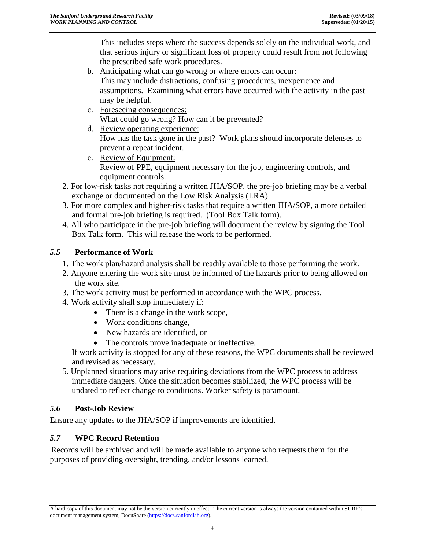This includes steps where the success depends solely on the individual work, and that serious injury or significant loss of property could result from not following the prescribed safe work procedures.

- b. Anticipating what can go wrong or where errors can occur: This may include distractions, confusing procedures, inexperience and assumptions. Examining what errors have occurred with the activity in the past may be helpful.
- c. Foreseeing consequences: What could go wrong? How can it be prevented?
- d. Review operating experience: How has the task gone in the past? Work plans should incorporate defenses to prevent a repeat incident.
- e. Review of Equipment: Review of PPE, equipment necessary for the job, engineering controls, and equipment controls.
- 2. For low-risk tasks not requiring a written JHA/SOP, the pre-job briefing may be a verbal exchange or documented on the Low Risk Analysis (LRA).
- 3. For more complex and higher-risk tasks that require a written JHA/SOP, a more detailed and formal pre-job briefing is required. (Tool Box Talk form).
- 4. All who participate in the pre-job briefing will document the review by signing the Tool Box Talk form. This will release the work to be performed.

### <span id="page-6-0"></span>*5.5* **Performance of Work**

- 1. The work plan/hazard analysis shall be readily available to those performing the work.
- 2. Anyone entering the work site must be informed of the hazards prior to being allowed on the work site.
- 3. The work activity must be performed in accordance with the WPC process.
- 4. Work activity shall stop immediately if:
	- There is a change in the work scope,
	- Work conditions change,
	- New hazards are identified, or
	- The controls prove inadequate or ineffective.

If work activity is stopped for any of these reasons, the WPC documents shall be reviewed and revised as necessary.

5. Unplanned situations may arise requiring deviations from the WPC process to address immediate dangers. Once the situation becomes stabilized, the WPC process will be updated to reflect change to conditions. Worker safety is paramount.

## <span id="page-6-1"></span>*5.6* **Post-Job Review**

Ensure any updates to the JHA/SOP if improvements are identified.

## <span id="page-6-2"></span>*5.7* **WPC Record Retention**

Records will be archived and will be made available to anyone who requests them for the purposes of providing oversight, trending, and/or lessons learned.

A hard copy of this document may not be the version currently in effect. The current version is always the version contained within SURF's document management system, DocuShare [\(https://docs.sanfordlab.org\)](https://docs.sanfordlab.org/).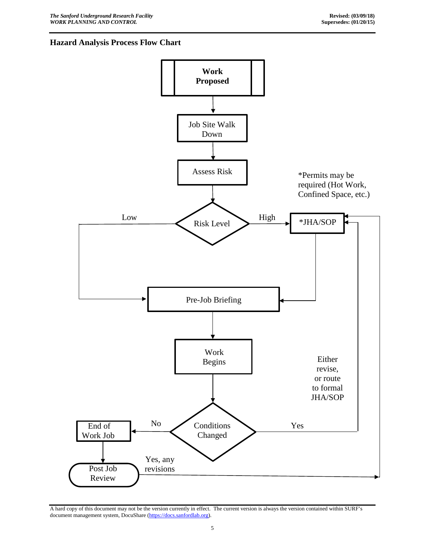#### **Hazard Analysis Process Flow Chart**



A hard copy of this document may not be the version currently in effect. The current version is always the version contained within SURF's document management system, DocuShare [\(https://docs.sanfordlab.org\)](https://docs.sanfordlab.org/).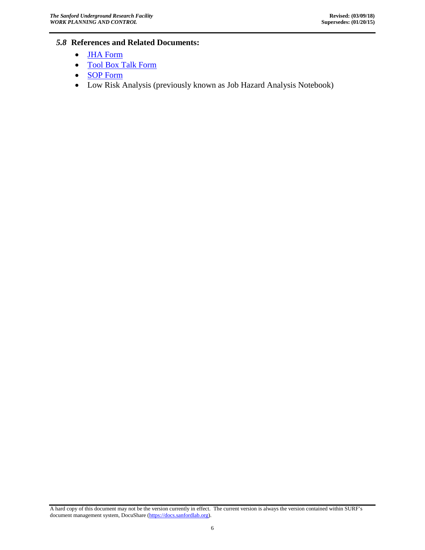#### <span id="page-8-0"></span>*5.8* **References and Related Documents:**

- [JHA Form](https://docs.sanfordlab.org/docushare/dsweb/Get/Document-71800/)
- [Tool Box Talk Form](https://docs.sanfordlab.org/docushare/dsweb/Get/Document-71465/)
- [SOP Form](https://docs.sanfordlab.org/docushare/dsweb/Get/Document-125321)
- Low Risk Analysis (previously known as Job Hazard Analysis Notebook)

A hard copy of this document may not be the version currently in effect. The current version is always the version contained within SURF's document management system, DocuShare [\(https://docs.sanfordlab.org\)](https://docs.sanfordlab.org/).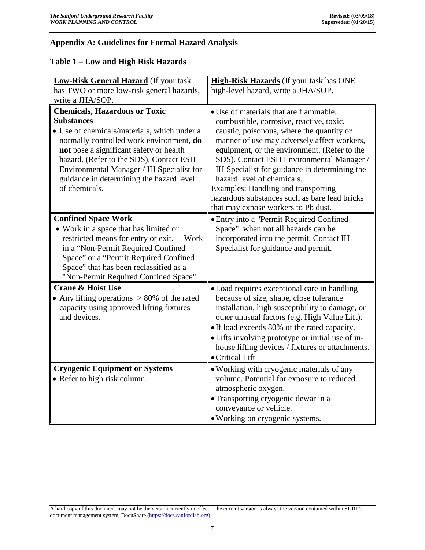### <span id="page-9-0"></span>**Appendix A: Guidelines for Formal Hazard Analysis**

#### <span id="page-9-1"></span>**Table 1 – Low and High Risk Hazards**

| <b>Low-Risk General Hazard</b> (If your task                                                                                                                                                                                                                                                                                                         | High-Risk Hazards (If your task has ONE                                                                                                                                                                                                                                                                                                                                                                                                                                                   |  |
|------------------------------------------------------------------------------------------------------------------------------------------------------------------------------------------------------------------------------------------------------------------------------------------------------------------------------------------------------|-------------------------------------------------------------------------------------------------------------------------------------------------------------------------------------------------------------------------------------------------------------------------------------------------------------------------------------------------------------------------------------------------------------------------------------------------------------------------------------------|--|
| has TWO or more low-risk general hazards,                                                                                                                                                                                                                                                                                                            | high-level hazard, write a JHA/SOP.                                                                                                                                                                                                                                                                                                                                                                                                                                                       |  |
| write a JHA/SOP.                                                                                                                                                                                                                                                                                                                                     |                                                                                                                                                                                                                                                                                                                                                                                                                                                                                           |  |
| <b>Chemicals, Hazardous or Toxic</b><br><b>Substances</b><br>• Use of chemicals/materials, which under a<br>normally controlled work environment, do<br>not pose a significant safety or health<br>hazard. (Refer to the SDS). Contact ESH<br>Environmental Manager / IH Specialist for<br>guidance in determining the hazard level<br>of chemicals. | • Use of materials that are flammable,<br>combustible, corrosive, reactive, toxic,<br>caustic, poisonous, where the quantity or<br>manner of use may adversely affect workers,<br>equipment, or the environment. (Refer to the<br>SDS). Contact ESH Environmental Manager /<br>IH Specialist for guidance in determining the<br>hazard level of chemicals.<br>Examples: Handling and transporting<br>hazardous substances such as bare lead bricks<br>that may expose workers to Pb dust. |  |
| <b>Confined Space Work</b><br>• Work in a space that has limited or<br>restricted means for entry or exit.<br>Work<br>in a "Non-Permit Required Confined<br>Space" or a "Permit Required Confined<br>Space" that has been reclassified as a<br>"Non-Permit Required Confined Space".                                                                 | • Entry into a "Permit Required Confined<br>Space" when not all hazards can be<br>incorporated into the permit. Contact IH<br>Specialist for guidance and permit.                                                                                                                                                                                                                                                                                                                         |  |
| <b>Crane &amp; Hoist Use</b><br>• Any lifting operations $> 80\%$ of the rated<br>capacity using approved lifting fixtures<br>and devices.                                                                                                                                                                                                           | • Load requires exceptional care in handling<br>because of size, shape, close tolerance<br>installation, high susceptibility to damage, or<br>other unusual factors (e.g. High Value Lift).<br>• If load exceeds 80% of the rated capacity.<br>• Lifts involving prototype or initial use of in-<br>house lifting devices / fixtures or attachments.<br>• Critical Lift                                                                                                                   |  |
| <b>Cryogenic Equipment or Systems</b><br>• Refer to high risk column.                                                                                                                                                                                                                                                                                | • Working with cryogenic materials of any<br>volume. Potential for exposure to reduced<br>atmospheric oxygen.<br>• Transporting cryogenic dewar in a<br>conveyance or vehicle.<br>• Working on cryogenic systems.                                                                                                                                                                                                                                                                         |  |

A hard copy of this document may not be the version currently in effect. The current version is always the version contained within SURF's document management system, DocuShare [\(https://docs.sanfordlab.org\)](https://docs.sanfordlab.org/).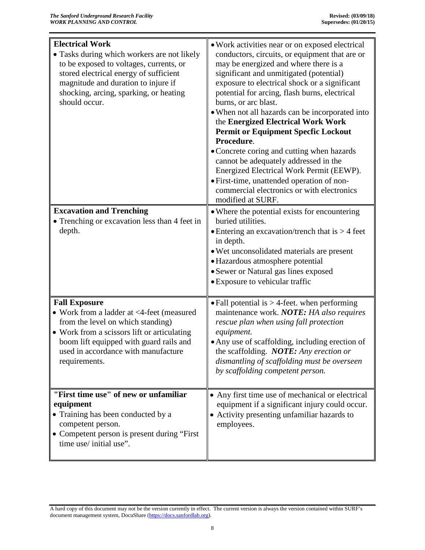| <b>Electrical Work</b><br>· Tasks during which workers are not likely<br>to be exposed to voltages, currents, or<br>stored electrical energy of sufficient<br>magnitude and duration to injure if<br>shocking, arcing, sparking, or heating<br>should occur.<br><b>Excavation and Trenching</b> | • Work activities near or on exposed electrical<br>conductors, circuits, or equipment that are or<br>may be energized and where there is a<br>significant and unmitigated (potential)<br>exposure to electrical shock or a significant<br>potential for arcing, flash burns, electrical<br>burns, or arc blast.<br>• When not all hazards can be incorporated into<br>the Energized Electrical Work Work<br><b>Permit or Equipment Specfic Lockout</b><br>Procedure.<br>• Concrete coring and cutting when hazards<br>cannot be adequately addressed in the<br>Energized Electrical Work Permit (EEWP).<br>• First-time, unattended operation of non-<br>commercial electronics or with electronics<br>modified at SURF.<br>• Where the potential exists for encountering |  |
|-------------------------------------------------------------------------------------------------------------------------------------------------------------------------------------------------------------------------------------------------------------------------------------------------|---------------------------------------------------------------------------------------------------------------------------------------------------------------------------------------------------------------------------------------------------------------------------------------------------------------------------------------------------------------------------------------------------------------------------------------------------------------------------------------------------------------------------------------------------------------------------------------------------------------------------------------------------------------------------------------------------------------------------------------------------------------------------|--|
| • Trenching or excavation less than 4 feet in<br>depth.                                                                                                                                                                                                                                         | buried utilities.<br>• Entering an excavation/trench that is $>$ 4 feet<br>in depth.<br>• Wet unconsolidated materials are present<br>· Hazardous atmosphere potential<br>• Sewer or Natural gas lines exposed<br>• Exposure to vehicular traffic                                                                                                                                                                                                                                                                                                                                                                                                                                                                                                                         |  |
| <b>Fall Exposure</b><br>• Work from a ladder at <4-feet (measured<br>from the level on which standing)<br>• Work from a scissors lift or articulating<br>boom lift equipped with guard rails and<br>used in accordance with manufacture<br>requirements.                                        | • Fall potential is $>$ 4-feet. when performing<br>maintenance work. NOTE: HA also requires<br>rescue plan when using fall protection<br>equipment.<br>• Any use of scaffolding, including erection of<br>the scaffolding. NOTE: Any erection or<br>dismantling of scaffolding must be overseen<br>by scaffolding competent person.                                                                                                                                                                                                                                                                                                                                                                                                                                       |  |
| "First time use" of new or unfamiliar<br>equipment<br>• Training has been conducted by a<br>competent person.<br>• Competent person is present during "First"<br>time use/ initial use".                                                                                                        | • Any first time use of mechanical or electrical<br>equipment if a significant injury could occur.<br>• Activity presenting unfamiliar hazards to<br>employees.                                                                                                                                                                                                                                                                                                                                                                                                                                                                                                                                                                                                           |  |

A hard copy of this document may not be the version currently in effect. The current version is always the version contained within SURF's document management system, DocuShare [\(https://docs.sanfordlab.org\)](https://docs.sanfordlab.org/).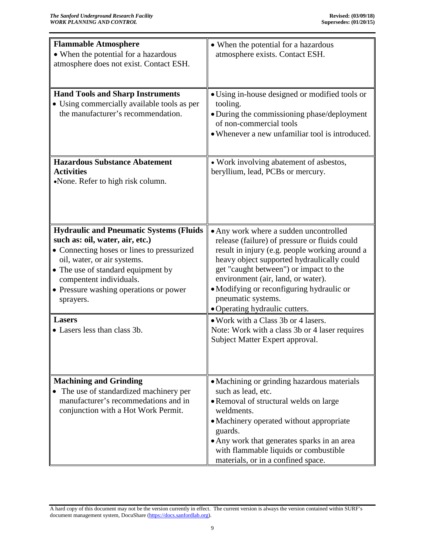| <b>Flammable Atmosphere</b>                    | • When the potential for a hazardous                            |
|------------------------------------------------|-----------------------------------------------------------------|
| • When the potential for a hazardous           | atmosphere exists. Contact ESH.                                 |
| atmosphere does not exist. Contact ESH.        |                                                                 |
|                                                |                                                                 |
| <b>Hand Tools and Sharp Instruments</b>        | • Using in-house designed or modified tools or                  |
| • Using commercially available tools as per    | tooling.                                                        |
| the manufacturer's recommendation.             | • During the commissioning phase/deployment                     |
|                                                | of non-commercial tools                                         |
|                                                | • Whenever a new unfamiliar tool is introduced.                 |
|                                                |                                                                 |
|                                                |                                                                 |
| <b>Hazardous Substance Abatement</b>           | • Work involving abatement of asbestos,                         |
| <b>Activities</b>                              | beryllium, lead, PCBs or mercury.                               |
| •None. Refer to high risk column.              |                                                                 |
|                                                |                                                                 |
|                                                |                                                                 |
|                                                |                                                                 |
| <b>Hydraulic and Pneumatic Systems (Fluids</b> | • Any work where a sudden uncontrolled                          |
| such as: oil, water, air, etc.)                | release (failure) of pressure or fluids could                   |
| • Connecting hoses or lines to pressurized     | result in injury (e.g. people working around a                  |
| oil, water, or air systems.                    | heavy object supported hydraulically could                      |
| • The use of standard equipment by             | get "caught between") or impact to the                          |
| compentent individuals.                        | environment (air, land, or water).                              |
| • Pressure washing operations or power         | • Modifying or reconfiguring hydraulic or<br>pneumatic systems. |
| sprayers.                                      | · Operating hydraulic cutters.                                  |
| <b>Lasers</b>                                  | • Work with a Class 3b or 4 lasers.                             |
| • Lasers less than class 3b.                   | Note: Work with a class 3b or 4 laser requires                  |
|                                                | Subject Matter Expert approval.                                 |
|                                                |                                                                 |
|                                                |                                                                 |
|                                                |                                                                 |
| <b>Machining and Grinding</b>                  | • Machining or grinding hazardous materials                     |
| The use of standardized machinery per          | such as lead, etc.                                              |
| manufacturer's recommedations and in           | • Removal of structural welds on large                          |
| conjunction with a Hot Work Permit.            | weldments.                                                      |
|                                                | • Machinery operated without appropriate<br>guards.             |
|                                                | • Any work that generates sparks in an area                     |
|                                                | with flammable liquids or combustible                           |
|                                                | materials, or in a confined space.                              |

A hard copy of this document may not be the version currently in effect. The current version is always the version contained within SURF's document management system, DocuShare [\(https://docs.sanfordlab.org\)](https://docs.sanfordlab.org/).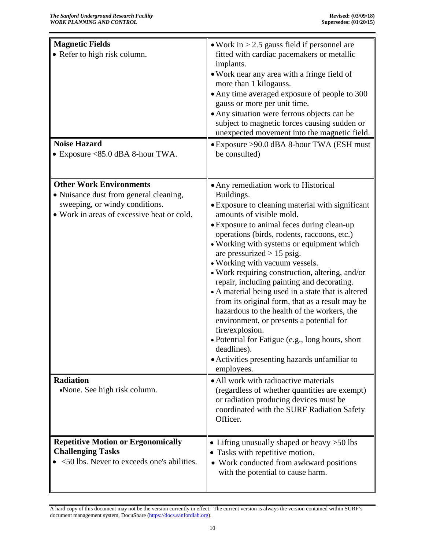| <b>Magnetic Fields</b><br>• Refer to high risk column.<br><b>Noise Hazard</b><br>• Exposure $<85.0$ dBA 8-hour TWA.                                      | • Work in $> 2.5$ gauss field if personnel are<br>fitted with cardiac pacemakers or metallic<br>implants.<br>• Work near any area with a fringe field of<br>more than 1 kilogauss.<br>• Any time averaged exposure of people to 300<br>gauss or more per unit time.<br>• Any situation were ferrous objects can be<br>subject to magnetic forces causing sudden or<br>unexpected movement into the magnetic field.<br>• Exposure >90.0 dBA 8-hour TWA (ESH must<br>be consulted)                                                                                                                                                                                                                                                                                                                         |
|----------------------------------------------------------------------------------------------------------------------------------------------------------|----------------------------------------------------------------------------------------------------------------------------------------------------------------------------------------------------------------------------------------------------------------------------------------------------------------------------------------------------------------------------------------------------------------------------------------------------------------------------------------------------------------------------------------------------------------------------------------------------------------------------------------------------------------------------------------------------------------------------------------------------------------------------------------------------------|
|                                                                                                                                                          |                                                                                                                                                                                                                                                                                                                                                                                                                                                                                                                                                                                                                                                                                                                                                                                                          |
| <b>Other Work Environments</b><br>• Nuisance dust from general cleaning,<br>sweeping, or windy conditions.<br>• Work in areas of excessive heat or cold. | • Any remediation work to Historical<br>Buildings.<br>• Exposure to cleaning material with significant<br>amounts of visible mold.<br>• Exposure to animal feces during clean-up<br>operations (birds, rodents, raccoons, etc.)<br>• Working with systems or equipment which<br>are pressurized $> 15$ psig.<br>• Working with vacuum vessels.<br>• Work requiring construction, altering, and/or<br>repair, including painting and decorating.<br>• A material being used in a state that is altered<br>from its original form, that as a result may be<br>hazardous to the health of the workers, the<br>environment, or presents a potential for<br>fire/explosion.<br>• Potential for Fatigue (e.g., long hours, short<br>deadlines).<br>• Activities presenting hazards unfamiliar to<br>employees. |
| <b>Radiation</b><br>•None. See high risk column.                                                                                                         | • All work with radioactive materials<br>(regardless of whether quantities are exempt)<br>or radiation producing devices must be<br>coordinated with the SURF Radiation Safety<br>Officer.                                                                                                                                                                                                                                                                                                                                                                                                                                                                                                                                                                                                               |
| <b>Repetitive Motion or Ergonomically</b><br><b>Challenging Tasks</b><br><50 lbs. Never to exceeds one's abilities.                                      | • Lifting unusually shaped or heavy > 50 lbs<br>• Tasks with repetitive motion.<br>• Work conducted from awkward positions<br>with the potential to cause harm.                                                                                                                                                                                                                                                                                                                                                                                                                                                                                                                                                                                                                                          |

A hard copy of this document may not be the version currently in effect. The current version is always the version contained within SURF's document management system, DocuShare [\(https://docs.sanfordlab.org\)](https://docs.sanfordlab.org/).